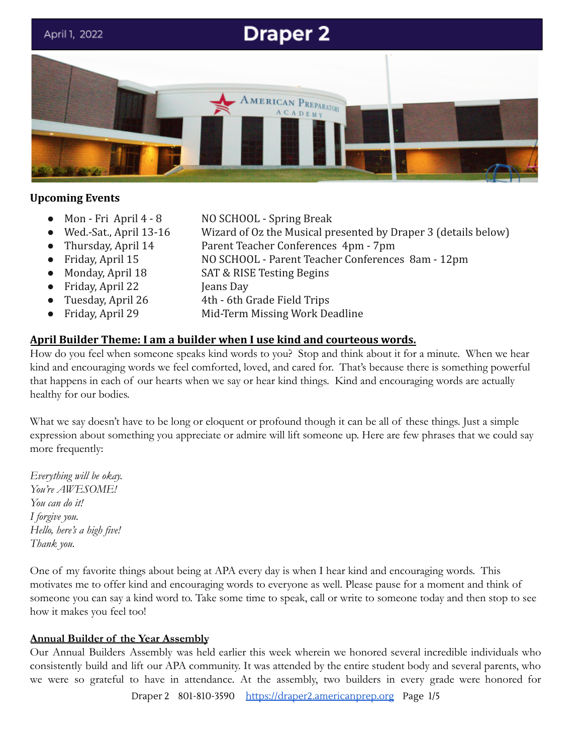

#### **Upcoming Events**

- 
- 
- 
- 
- 
- Friday, April 22 Jeans Day
- 
- 
- Mon Fri April 4 8 NO SCHOOL Spring Break
	- Wed.-Sat., April 13-16 Wizard of Oz the Musical presented by Draper 3 (details below)
- Thursday, April 14 Parent Teacher Conferences 4pm 7pm
- Friday, April 15 NO SCHOOL Parent Teacher Conferences 8am 12pm
	- Monday, April 18 SAT & RISE Testing Begins
		-
	- Tuesday, April 26 4th 6th Grade Field Trips
- Friday, April 29 Mid-Term Missing Work Deadline

#### **April Builder Theme: I am a builder when I use kind and courteous words.**

How do you feel when someone speaks kind words to you? Stop and think about it for a minute. When we hear kind and encouraging words we feel comforted, loved, and cared for. That's because there is something powerful that happens in each of our hearts when we say or hear kind things. Kind and encouraging words are actually healthy for our bodies.

What we say doesn't have to be long or eloquent or profound though it can be all of these things. Just a simple expression about something you appreciate or admire will lift someone up. Here are few phrases that we could say more frequently:

*Everything will be okay. You're AWESOME! You can do it! I forgive you. Hello, here's a high five! Thank you.*

One of my favorite things about being at APA every day is when I hear kind and encouraging words. This motivates me to offer kind and encouraging words to everyone as well. Please pause for a moment and think of someone you can say a kind word to. Take some time to speak, call or write to someone today and then stop to see how it makes you feel too!

#### **Annual Builder of the Year Assembly**

Our Annual Builders Assembly was held earlier this week wherein we honored several incredible individuals who consistently build and lift our APA community. It was attended by the entire student body and several parents, who we were so grateful to have in attendance. At the assembly, two builders in every grade were honored for

Draper 2 801-810-3590 [https://draper2.americanprep.org](https://draper2.americanprep.org/) Page 1/5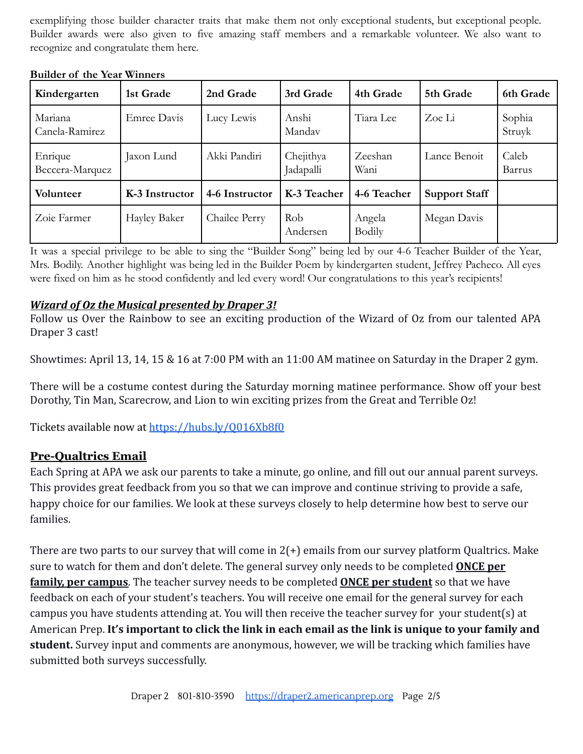exemplifying those builder character traits that make them not only exceptional students, but exceptional people. Builder awards were also given to five amazing staff members and a remarkable volunteer. We also want to recognize and congratulate them here.

| Kindergarten               | 1st Grade      | 2nd Grade      | 3rd Grade              | 4th Grade               | 5th Grade            | 6th Grade        |
|----------------------------|----------------|----------------|------------------------|-------------------------|----------------------|------------------|
| Mariana<br>Canela-Ramirez  | Emree Davis    | Lucy Lewis     | Anshi<br>Mandav        | Tiara Lee               | Zoe Li               | Sophia<br>Struyk |
| Enrique<br>Beccera-Marquez | Jaxon Lund     | Akki Pandiri   | Chejithya<br>Jadapalli | Zeeshan<br>Wani         | Lance Benoit         | Caleb<br>Barrus  |
| Volunteer                  | K-3 Instructor | 4-6 Instructor | K-3 Teacher            | 4-6 Teacher             | <b>Support Staff</b> |                  |
| Zoie Farmer                | Hayley Baker   | Chailee Perry  | Rob<br>Andersen        | Angela<br><b>Bodily</b> | Megan Davis          |                  |

#### **Builder of the Year Winners**

It was a special privilege to be able to sing the "Builder Song" being led by our 4-6 Teacher Builder of the Year, Mrs. Bodily. Another highlight was being led in the Builder Poem by kindergarten student, Jeffrey Pacheco. All eyes were fixed on him as he stood confidently and led every word! Our congratulations to this year's recipients!

#### *Wizard of Oz the Musical presented by Draper 3!*

Follow us Over the Rainbow to see an exciting production of the Wizard of Oz from our talented APA Draper 3 cast!

Showtimes: April 13, 14, 15 & 16 at 7:00 PM with an 11:00 AM matinee on Saturday in the Draper 2 gym.

There will be a costume contest during the Saturday morning matinee performance. Show off your best Dorothy, Tin Man, Scarecrow, and Lion to win exciting prizes from the Great and Terrible Oz!

Tickets available now at <https://hubs.ly/Q016Xb8f0>

## **Pre-Qualtrics Email**

Each Spring at APA we ask our parents to take a minute, go online, and fill out our annual parent surveys. This provides great feedback from you so that we can improve and continue striving to provide a safe, happy choice for our families. We look at these surveys closely to help determine how best to serve our families.

There are two parts to our survey that will come in  $2(+)$  emails from our survey platform Qualtrics. Make sure to watch for them and don't delete. The general survey only needs to be completed **ONCE per family, per campus**. The teacher survey needs to be completed **ONCE per student** so that we have feedback on each of your student's teachers. You will receive one email for the general survey for each campus you have students attending at. You will then receive the teacher survey for your student(s) at American Prep. **It's important to click the link in each email as the link is unique to your family and student.** Survey input and comments are anonymous, however, we will be tracking which families have submitted both surveys successfully.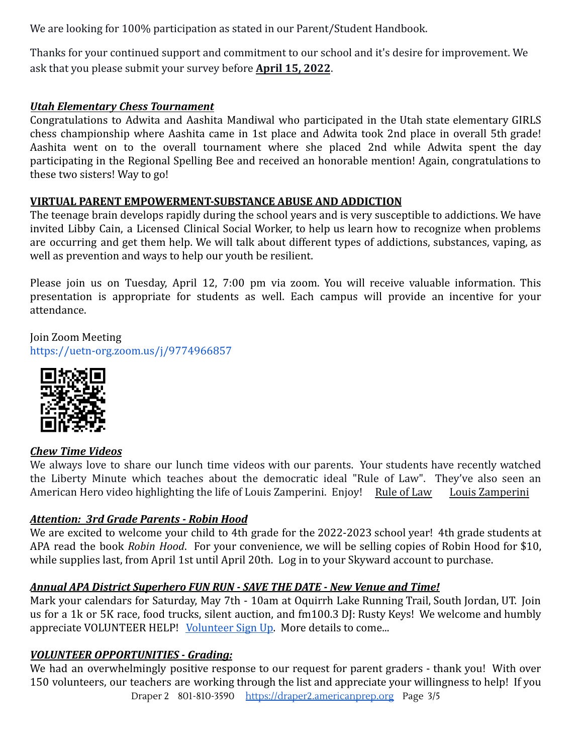We are looking for 100% participation as stated in our Parent/Student Handbook.

Thanks for your continued support and commitment to our school and it's desire for improvement. We ask that you please submit your survey before **April 15, 2022**.

## *Utah Elementary Chess Tournament*

Congratulations to Adwita and Aashita Mandiwal who participated in the Utah state elementary GIRLS chess championship where Aashita came in 1st place and Adwita took 2nd place in overall 5th grade! Aashita went on to the overall tournament where she placed 2nd while Adwita spent the day participating in the Regional Spelling Bee and received an honorable mention! Again, congratulations to these two sisters! Way to go!

# **VIRTUAL PARENT EMPOWERMENT-SUBSTANCE ABUSE AND ADDICTION**

The teenage brain develops rapidly during the school years and is very susceptible to addictions. We have invited Libby Cain, a Licensed Clinical Social Worker, to help us learn how to recognize when problems are occurring and get them help. We will talk about different types of addictions, substances, vaping, as well as prevention and ways to help our youth be resilient.

Please join us on Tuesday, April 12, 7:00 pm via zoom. You will receive valuable information. This presentation is appropriate for students as well. Each campus will provide an incentive for your attendance.

Join Zoom Meeting <https://uetn-org.zoom.us/j/9774966857>



## *Chew Time Videos*

We always love to share our lunch time videos with our parents. Your students have recently watched the Liberty Minute which teaches about the democratic ideal "Rule of Law". They've also seen an American Hero video highlighting the life of Louis Zamperini. Enjoy! [Rule of Law](https://vimeo.com/684017861) [Louis Zamperini](https://vimeo.com/690109397)

## *Attention: 3rd Grade Parents - Robin Hood*

We are excited to welcome your child to 4th grade for the 2022-2023 school year! 4th grade students at APA read the book *Robin Hood*. For your convenience, we will be selling copies of Robin Hood for \$10, while supplies last, from April 1st until April 20th. Log in to your Skyward account to purchase.

## *Annual APA District Superhero FUN RUN - SAVE THE DATE - New Venue and Time!*

Mark your calendars for Saturday, May 7th - 10am at Oquirrh Lake Running Trail, South Jordan, UT. Join us for a 1k or 5K race, food trucks, silent auction, and fm100.3 DJ: Rusty Keys! We welcome and humbly appreciate VOLUNTEER HELP! [Volunteer Sign Up](https://www.signupgenius.com/go/20F0548A5AD23A5FD0-apasuper1). More details to come...

## *VOLUNTEER OPPORTUNITIES - Grading:*

We had an overwhelmingly positive response to our request for parent graders - thank you! With over 150 volunteers, our teachers are working through the list and appreciate your willingness to help! If you Draper 2 801-810-3590 [https://draper2.americanprep.org](https://draper2.americanprep.org/) Page 3/5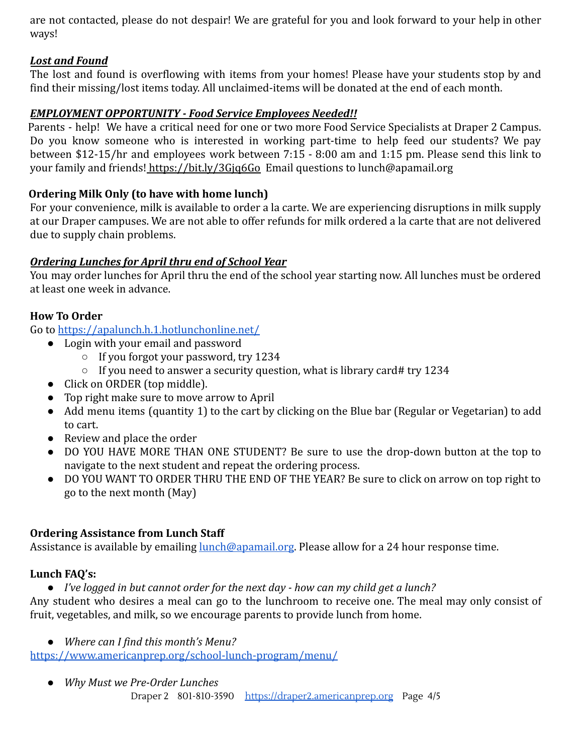are not contacted, please do not despair! We are grateful for you and look forward to your help in other ways!

#### *Lost and Found*

The lost and found is overflowing with items from your homes! Please have your students stop by and find their missing/lost items today. All unclaimed-items will be donated at the end of each month.

#### *EMPLOYMENT OPPORTUNITY - Food Service Employees Needed!!*

Parents - help! We have a critical need for one or two more Food Service Specialists at Draper 2 Campus. Do you know someone who is interested in working part-time to help feed our students? We pay between \$12-15/hr and employees work between 7:15 - 8:00 am and 1:15 pm. Please send this link to your family and friends! <https://bit.ly/3Gjq6Go> Email questions to lunch@apamail.org

## **Ordering Milk Only (to have with home lunch)**

For your convenience, milk is available to order a la carte. We are experiencing disruptions in milk supply at our Draper campuses. We are not able to offer refunds for milk ordered a la carte that are not delivered due to supply chain problems.

## *Ordering Lunches for April thru end of School Year*

You may order lunches for April thru the end of the school year starting now. All lunches must be ordered at least one week in advance.

#### **How To Order**

Go to <https://apalunch.h.1.hotlunchonline.net/>

- Login with your email and password
	- If you forgot your password, try 1234
	- If you need to answer a security question, what is library card# try 1234
- Click on ORDER (top middle).
- Top right make sure to move arrow to April
- Add menu items (quantity 1) to the cart by clicking on the Blue bar (Regular or Vegetarian) to add to cart.
- Review and place the order
- DO YOU HAVE MORE THAN ONE STUDENT? Be sure to use the drop-down button at the top to navigate to the next student and repeat the ordering process.
- DO YOU WANT TO ORDER THRU THE END OF THE YEAR? Be sure to click on arrow on top right to go to the next month (May)

## **Ordering Assistance from Lunch Staff**

Assistance is available by emailing [lunch@apamail.org.](mailto:lunch@apamail.org) Please allow for a 24 hour response time.

## **Lunch FAQ's:**

*● I've logged in but cannot order for the next day - how can my child get a lunch?*

Any student who desires a meal can go to the lunchroom to receive one. The meal may only consist of fruit, vegetables, and milk, so we encourage parents to provide lunch from home.

*● Where can I find this month's Menu?*

<https://www.americanprep.org/school-lunch-program/menu/>

*● Why Must we Pre-Order Lunches*